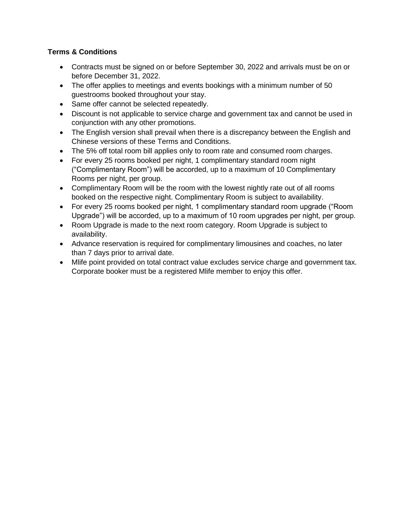## **Terms & Conditions**

- Contracts must be signed on or before September 30, 2022 and arrivals must be on or before December 31, 2022.
- The offer applies to meetings and events bookings with a minimum number of 50 guestrooms booked throughout your stay.
- Same offer cannot be selected repeatedly.
- Discount is not applicable to service charge and government tax and cannot be used in conjunction with any other promotions.
- The English version shall prevail when there is a discrepancy between the English and Chinese versions of these Terms and Conditions.
- The 5% off total room bill applies only to room rate and consumed room charges.
- For every 25 rooms booked per night, 1 complimentary standard room night ("Complimentary Room") will be accorded, up to a maximum of 10 Complimentary Rooms per night, per group.
- Complimentary Room will be the room with the lowest nightly rate out of all rooms booked on the respective night. Complimentary Room is subject to availability.
- For every 25 rooms booked per night, 1 complimentary standard room upgrade ("Room Upgrade") will be accorded, up to a maximum of 10 room upgrades per night, per group.
- Room Upgrade is made to the next room category. Room Upgrade is subject to availability.
- Advance reservation is required for complimentary limousines and coaches, no later than 7 days prior to arrival date.
- Mlife point provided on total contract value excludes service charge and government tax. Corporate booker must be a registered Mlife member to enjoy this offer.